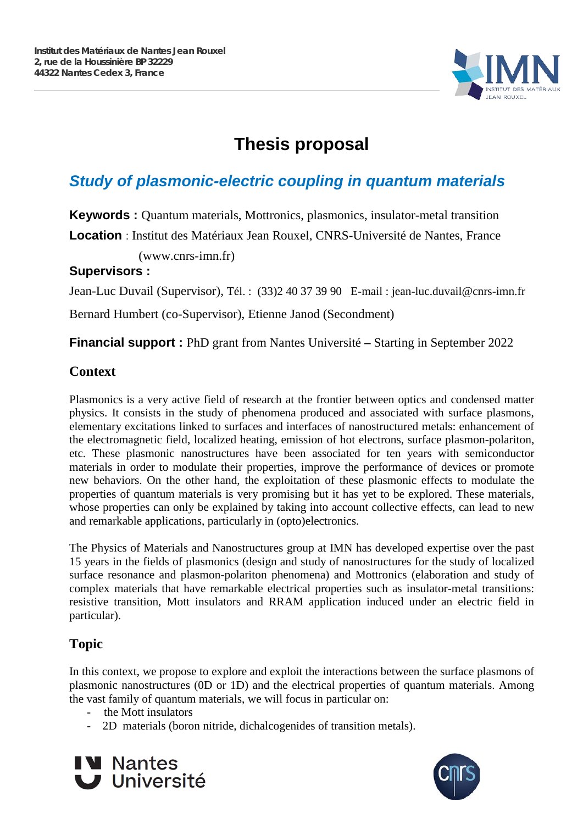

# **Thesis proposal**

## *Study of plasmonic-electric coupling in quantum materials*

**Keywords :** Quantum materials, Mottronics, plasmonics, insulator-metal transition **Location** : Institut des Matériaux Jean Rouxel, CNRS-Université de Nantes, France

(www.cnrs-imn.fr)

#### **Supervisors :**

Jean-Luc Duvail (Supervisor), Tél. : (33)2 40 37 39 90 E-mail : jean-luc.duvail@cnrs-imn.fr

Bernard Humbert (co-Supervisor), Etienne Janod (Secondment)

**Financial support :** PhD grant from Nantes Université **–** Starting in September 2022

#### **Context**

Plasmonics is a very active field of research at the frontier between optics and condensed matter physics. It consists in the study of phenomena produced and associated with surface plasmons, elementary excitations linked to surfaces and interfaces of nanostructured metals: enhancement of the electromagnetic field, localized heating, emission of hot electrons, surface plasmon-polariton, etc. These plasmonic nanostructures have been associated for ten years with semiconductor materials in order to modulate their properties, improve the performance of devices or promote new behaviors. On the other hand, the exploitation of these plasmonic effects to modulate the properties of quantum materials is very promising but it has yet to be explored. These materials, whose properties can only be explained by taking into account collective effects, can lead to new and remarkable applications, particularly in (opto)electronics.

The Physics of Materials and Nanostructures group at IMN has developed expertise over the past 15 years in the fields of plasmonics (design and study of nanostructures for the study of localized surface resonance and plasmon-polariton phenomena) and Mottronics (elaboration and study of complex materials that have remarkable electrical properties such as insulator-metal transitions: resistive transition, Mott insulators and RRAM application induced under an electric field in particular).

### **Topic**

In this context, we propose to explore and exploit the interactions between the surface plasmons of plasmonic nanostructures (0D or 1D) and the electrical properties of quantum materials. Among the vast family of quantum materials, we will focus in particular on:

- the Mott insulators
- 2D materials (boron nitride, dichalcogenides of transition metals).